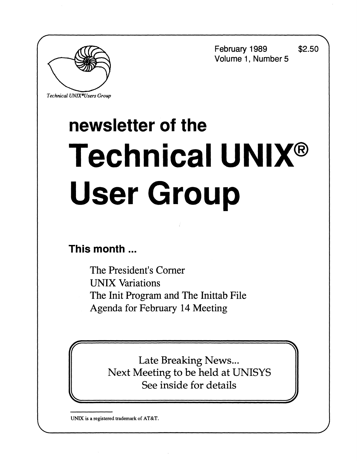**February 1989 \$2.50 Volume 1, Number 5** 



*Technical UNIX'Users Group* 

# **newsletter of the Technical UNIX® User Group**

**This month ...** 

The President's Corner UNIX Variations The Init Program and The Inittab File Agenda for February 14 Meeting

> **Late Breaking News...** Late Diearnig News...<br>Locting to be hold of I Next Meeting to be held at UNISTS See inside for details

**UNIX is a registered trademark of AT&T.**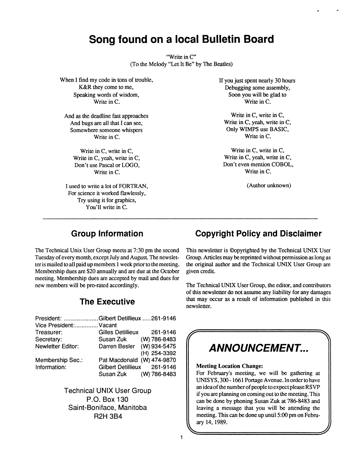### **Song found on a local Bulletin Board**

"Write in C" (To the Melody "Let It Be" by The Beatles)

When I find my code in tons of trouble, K&R they come to me, Speaking words of wisdom, Write in C.

And as the deadline fast approaches And bugs are all that I can see, Somewhere someone whispers Write in C.

> Write in C, write in C, Write in C, yeah, write in C, Don't use Pascal or LOGO, Write in C.

I used to write a lot of FORTRAN, For science it worked flawlessly, Try using it for graphics, You'll write in C.

If you just spent nearly 30 hours Debugging some assembly, Soon you will be glad to Write in C.

Write in C, write in C, Write in C, yeah, write in C, Only WIMPS use BASIC, Write in C.

Write in C, write in C, Write in C, yeah, write in C, Don't even mention COBOL, Write in C.

(Author unknown)

The Technical Unix User Group meets at 7:30 pm the second Tuesday of every month, except July and August The newsletter is mailed to all paid up members 1 week prior to the meeting. Membership dues are \$20 annually and are due at the October meeting. Membership dues are accepted by mail and dues for new members will be pro-rated accordingly.

### **The Executive**

| President: Gilbert Detillieux 261-9146 |                             |              |  |
|----------------------------------------|-----------------------------|--------------|--|
| Vice President: Vacant                 |                             |              |  |
| Treasurer:                             | Gilles Detillieux           | 261-9146     |  |
| Secretary:                             | Susan Zuk (W) 786-8483      |              |  |
| Newletter Editor:                      | Darren Besler (W) 934-5475  |              |  |
|                                        |                             | (H) 254-3392 |  |
| Membership Sec.:                       | Pat Macdonald (W) 474-9870  |              |  |
| Information:                           | Gilbert Detillieux 261-9146 |              |  |
|                                        | Susan Zuk (W) 786-8483      |              |  |
|                                        |                             |              |  |

Technical UNIX User Group P.O. Box 130 Saint-Boniface, Manitoba R2H 3B4

### **Group Information Copyright Policy and Disclaimer**

This newsletter is ©opyrighted by the Technical UNIX User Group. Articles may be reprinted without permission as long as the original author and the Technical UNIX User Group are given credit.

The Technical UNIX User Group, the editor, and contributors of this newsletter do not assume any liability for any damages that may occur as a result of information published in this newsletter.

## **EXAMPLEMENT...**

#### **Meeting Location Change:**

For February's meeting, we will be gathering at UNISYS, 300-1661 Portage Avenue. In order to have an idea of the number of people to expect please RSVP if you are planning on coming out to the meeting. This can be done by phoning Susan Zuk at 786-8483 and leaving a message that you will be attending the meeting. This can be done up until 5:00 pm on Febru**lett** ary 14, 1989 **-** *J*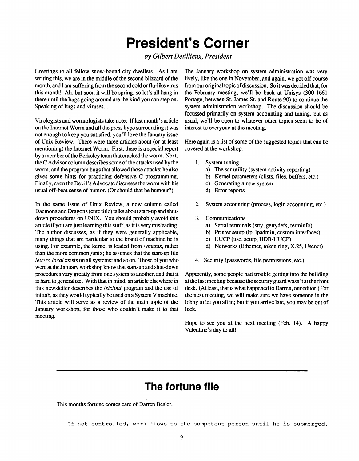### **President's Corner**

*by Gilbert Detillieux, President* 

**Greetings to all fellow snow-bound city dwellers. As I am writing this, we are in the middle of the second blizzard of the month, and I am suffering from the second cold or flu-like virus this month! Ah, but soon it will be spring, so let's all hang in there until the bugs going around are the kind you can step on. Speaking of bugs and viruses...** 

**Virologists and wormologists take note: If last month's article on the Internet Worm and all the press hype surrounding it was not enough to keep you satisfied, you'll love the January issue of Unix Review. There were three articles about (or at least mentioning) the Internet Worm. First, there is a special report by a member of the Berkeley team that cracked the worm. Next, the C Advisor column describes some of the attacks used by the worm, and the program bugs that allowed those attacks; he also gives some hints for practicing defensive C programming. Finally, even the Devil's Advocate discusses the worm with his usual off-beat sense of humor. (Or should that be humour?)** 

**In the same issue of Unix Review, a new column called Daemons and Dragons (cute title) talks about start-up and shutdown procedures on UNIX. You should probably avoid this article if you are just learning this stuff, as it is very misleading. The author discusses, as if they were generally applicable, many things that are particular to the brand of machine he is using. For example, the kernel is loaded from** *Ivmunix,* **rather than the more common /unix; he assumes that the start-up file**  */etc/re***.** *local* **exists on all systems; and so on. Those of you who were at the January workshop know that start-up and shut-down procedures vary greatly from one system to another, and that it is hard to generalize. With that in mind, an article elsewhere in this newsletter describes the** *letclinit* **program and the use of inittab, as they would typically be used on a System V machine. This article will serve as a review of the main topic of the January workshop, for those who couldn't make it to that meeting.** 

**The January workshop on system administration was very lively, like the one in November, and again, we got off course from our original topic of discussion. So it was decided that, for the February meeting, we'll be back at Unisys (300-1661**  Portage, between St. James St. and Route 90) to continue the **system administration workshop. The discussion should be focussed primarily on system accounting and tuning, but as usual, we'll be open to whatever other topics seem to be of interest to everyone at the meeting.** 

**Here again is a list of some of the suggested topics that can be covered at the workshop:** 

- **1. System tuning** 
	- **a) The sar utility (system activity reporting)**
	- **b) Kernel parameters (clists, files, buffers, etc.)**
	- **c) Generating a new system**
	- **d) Error reports**
- **2. System accounting (process, login accounting, etc.)**
- **3. Communications** 
	- **a) Serial terminals (stty, gettydefs, terminfo)**
	- **b) Printer setup (lp, lpadmin, custom interfaces)**
	- **c) UUCP (use, setup, HDB-UUCP)**
	- **d) Networks (Ethernet, token ring, X.25, Usenet)**
- **4. Security (passwords, file permissions, etc.)**

**Apparently, some people had trouble getting into the building at the last meeting because the security guard wasn't at the front desk. (At least, that is what happened to Darren, our editor.) For the next meeting, we will make sure we have someone in the lobby to let you all in; but if you arrive late, you may be out of luck.** 

**Hope to see you at the next meeting (Feb. 14). A happy Valentine's day to all!** 

### **The fortune file**

**This months fortune comes care of Darren Besler.** 

If not controlled, work flows to the competent person until he is submerged.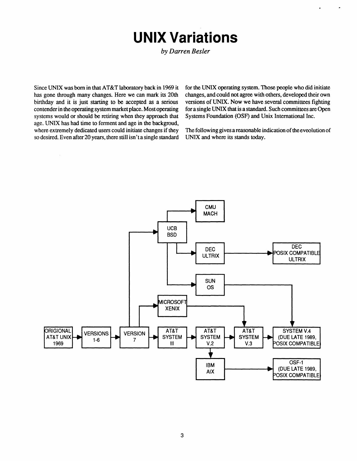### **UNIX Variations**

*by Darren Besler* 

**Since UNIX was born in that AT&T laboratory back in 1969 it has gone through many changes. Here we can mark its 20th birthday and it is just starting to be accepted as a serious contender in the operating system market place. Most operating systems would or should be retiring when they approach that age. UNIX has had time to ferment and age in the backgroud, where extremely dedicated users could initiate changes if they so desired. Even after 20 years, there still isn't a single standard** 

 $\bar{\lambda}$ 

**for the UNIX operating system. Those people who did initiate changes, and could not agree with others, developed their own versions of UNIX. Now we have several committees fighting for a single UNIX that is a standard. Such committees are Open Systems Foundation (OSF) and Unix International Inc.** 

**The following gives a reasonable indication of the eveolution of UNIX and where its stands today.** 

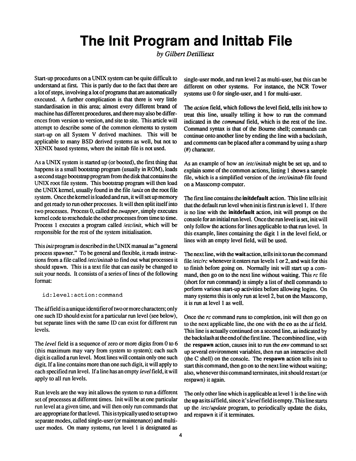### **The Init Program and Inittab File**

*by Gilbert Detillieux* 

Start-up procedures on a UNIX system can be quite difficult to understand at first. This is partly due to the fact that there are a lot of steps, involving a lot of programs that are automatically executed. A further complication is that there is very little standardisation in this area; almost every different brand of machine has different procedures, and there may also be differences from version to version, and site to site. This article will attempt to describe some of the common elements to system start-up on all System V derived machines. This will be applicable to many BSD derived systems as well, but not to XENIX based systems, where the inittab file is not used.

As a UNIX system is started up (or booted), the first thing that happens is a small bootstrap program (usually in ROM), loads a second stage bootstrap program from the disk that contains the UNIX root file system. This bootstrap program will then load the UNIX kernel, usually found in the file *lunix* on the root file system. Once the kernel is loaded and run, it will set up memory and get ready to run other processes. It will then split itself into two processes. Process 0, called the *swapper,* simply executes kernel code to reschedule the other processes from time to time. Process 1 executes a program called *letclinit,* which will be responsible for the rest of the system initialisation.

This *init* program is described in the UNIX manual as "a general process spawner." To be general and flexible, it reads instructions from a file called *letclinittab* to find out what processes it should spawn. This is a text file that can easily be changed to suit your needs. It consists of a series of lines of the following format:

id:level:action:command

The *id* field is a unique identifier of two or more characters; only one such ID should exist for a particular run level (see below), but separate lines with the same ID can exist for different run levels.

The *level* field is a sequence of zero or more digits from 0 to 6 (this maximum may vary from system to system); each such digit is called a run level. Most lines will contain only one such digit. If a line contains more than one such digit, it will apply to each specified run level. If a line has an empty *level* field, it will apply to all run levels.

Run levels are the way init allows the system to run a different set of processes at different times. Init will be at one particular run level at a given time, and will then only run commands that are appropriate for that level. This is typically used to set up two separate modes, called single-user (or maintenance) and multiuser modes. On many systems, run level 1 is designated as

single-user mode, and run level 2 as multi-user, but this can be different on other systems. For instance, the NCR Tower systems use 0 for single-user, and 1 for multi-user.

The *action* field, which follows the level field, tells init how to treat this line, usually telling it how to run the command indicated in the *command* field, which is the rest of the line. Command syntax is that of the Bourne shell; commands can continue onto another line by ending the line with a backslash, and comments can be placed after a command by using a sharp (#) character.

As an example of how an *letclinittab* might be set up, and to explain some of the common actions, listing 1 shows a sample file, which is a simplified version of the *letclinittab* file found on a Masscomp computer.

The first line contains the **initdefault** action. This line tells init that the default run level when init is first run is level 1. If there is no line with the **initdefault** action, init will prompt on the console for an initial run level. Once the run level is set, init will only follow the actions for lines applicable to that run level. In this example, lines containing the digit 1 in the level field, or lines with an empty level field, will be used.

The next line, with the **wait** action, tells init to run the command file *letclrc* whenever it enters run levels 1 or 2, and wait for this to finish before going on. Normally init will start up a command, then go on to the next line without waiting. This *re* file (short for run command) is simply a list of shell commands to perform various start-up activities before allowing logins. On many systems this is only run at level 2, but on the Masscomp, it is run at level 1 as well.

Once the *re* command runs to completion, init will then go on to the next applicable line, the one with the co as the *id* field. This line is actually continued on a second line, as indicated by the backslash at the end of the first line. The combined line, with the respawn action, causes init to run the *env* command to set up several environment variables, then run an interactive shell (the C shell) on the console. The respawn action tells init to start this command, then go on to the next line without waiting; also, whenever this command terminates, init should restart (or respawn) it again.

The only other line which is applicable at level 1 is the line with the up as its *id* field, since it's *level* field is empty. This line starts up the *letclupdate* program, to periodically update the disks, and respawn it if it terminates.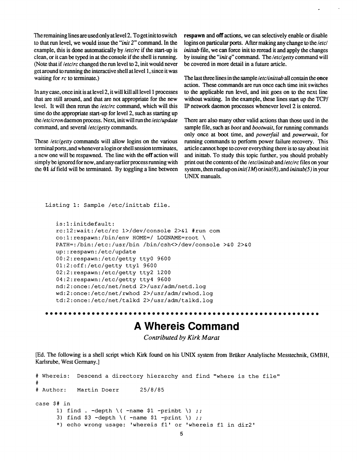The remaining lines are used only at level 2. To get init to switch to that run level, we would issue the *"init 2"* command. In the example, this is done automatically by *letclrc* if the start-up is clean, or it can be typed in at the console if the shell is running. (Note that if *letclrc* changed the run level to 2, init would never get around to running the interactive shell at level 1, since it was waiting for *rc* to terminate.)

In any case, once init is at level 2, it will kill all level 1 processes that are still around, and that are not appropriate for the new level. It will then rerun the *letclrc* command, which will this time do the appropriate start-up for level 2, such as starting up the *letclcron* daemon process. Next, init will run the *Ietelupdate*  command, and several *letclgetty* commands.

These *letclgetty* commands will allow logins on the various terminal ports, and whenever a login or shell session terminates, a new one will be respawned. The line with the **off** action will simply be ignored for now, and any earlier process running with the 01 *id* field will be terminated. By toggling a line between **respawn** and **off** actions, we can selectively enable or disable logins on particular ports. After making any change to the /etc/ *inittab* file, we can force init to reread it and apply the changes by issuing the *"init q"* command. The *letclgetty* command will be covered in more detail in a future article.

The last three lines in the sample *letclinittab* all contain the once action. These commands are run once each time init switches to the applicable run level, and init goes on to the next line without waiting. In the example, these lines start up the TCP/ IP network daemon processes whenever level 2 is entered.

There are also many other valid actions than those used in the sample file, such as *boot* and *bootwait,* for running commands only once at boot time, and *powerfail* and *powerwait,* for running commands to perform power failure recovery. This article cannot hope to cover everything there is to say about init and inittab. To study this topic further, you should probably print out the contents of the *letclinittab* and *letclrc* files on your system, then read up on *init(lM) orinit(8),and inittab(5)* in your UNIX manuals.

```
Listing 1: Sample /etc/inittab file.
```

```
is:1:initdefault: 
re:12:wait:/etc/rc l>/dev/console 2>&1 #run com 
co:1:respawn:/bin/env HOME=/ LOGNAME=root \ 
PATH=:/bin:/etc:/usr/bin /bin/csh<>/dev/console >&0 2>&0
up::respawn:/etc/update 
00:2:respawn:/etc/getty ttyO 9600 
01:2:off:/etc/getty ttyl 9600 
02:2:respawn:/etc/getty tty2 1200 
04:2:respawn:/etc/getty tty4 9600 
nd:2:once:/etc/net/netd 2>/usr/adm/netd.log 
wd:2:once:/etc/net/rwhod 2>/usr/adm/rwhod.log 
td:2:once:/etc/net/talkd 2>/usr/adm/talkd.log
```

```
AAAAAAAAAAA
```
### **A Whereis Command**

*Contributed by Kirk Marat* 

[Ed. The following is a shell script which Kirk found on his UNIX system from Briiker Analylische Messtechnik, GMBH, Karlsrube, West Germany.]

```
# Whereis: Descend a directory hierarchy and find "where is the file" 
# 
# Author: Martin Doerr 25/8/85 
case $# in 
      1) find . -depth \setminus ( -name \ $1 -print);
      3) find $3 -depth \( -name $1 -print \) ;;
      *) echo wrong usage: 'whereis fl' or 'whereis fl in dir2'
```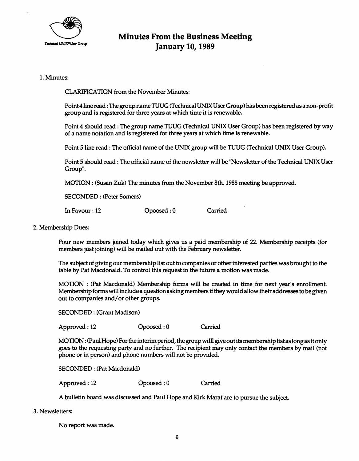

### **Minutes From the Business Meeting January 10,1989**

#### **1. Minutes:**

**CLARIFICATION from the November Minutes:** 

**Point 4 line read: The group name TUUG (Technical UNIX User Group) has been registered as a non-profit group and is registered for three years at which time it is renewable.** 

**Point 4 should read: The group name TUUG (Technical UNIX User Group) has been registered by way of a name notation and is registered for three years at which time is renewable.** 

Point 5 line read: The official name of the UNIX group will be TUUG (Technical UNIX User Group).

**Point 5 should read: The official name of the newsletter will be "Newsletter of the Technical UNIX User Group".** 

**MOTION : (Susan Zuk) The minutes from the November 8th, 1988 meeting be approved.** 

**SECONDED: (Peter Somers)** 

**In Favour: 12 Opoosed: 0 Carried** 

#### **2. Membership Dues:**

**Four new members joined today which gives us a paid membership of 22. Membership receipts (for members just joining) will be mailed out with the February newsletter.** 

**The subject of giving our membership list out to companies or other interested parties was brought to the table by Pat Macdonald. To control this request in the future a motion was made.** 

**MOTION : (Pat Macdonald) Membership forms will be created in time for next year's enrollment. Membership forms will include a question asking members if they would allow their addresses to be given out to companies and/or other groups.** 

**SECONDED: (Grant Madison)** 

**Approved: 12 Opoosed: 0 Carried** 

**MOTION: (Paul Hope) For the interim period, the group willl give out its membership list as long as it only goes to the requesting party and no further. The recipient may only contact the members by mail (not phone or in person) and phone numbers will not be provided.** 

**SECONDED: (Pat Macdonald)** 

**Approved: 12 Opoosed: 0 Carried** 

**A bulletin board was discussed and Paul Hope and Kirk Marat are to pursue the subject.** 

**3. Newsletters:** 

**No report was made.**